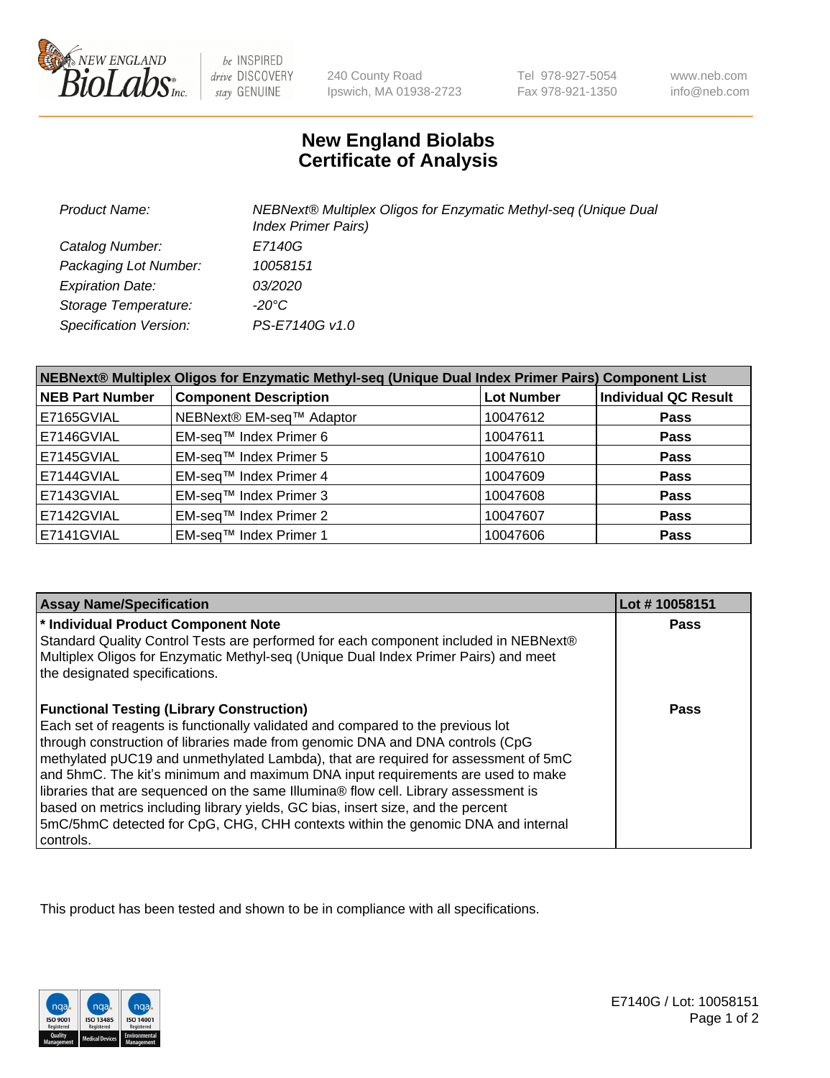

be INSPIRED drive DISCOVERY stay GENUINE

240 County Road Ipswich, MA 01938-2723 Tel 978-927-5054 Fax 978-921-1350

www.neb.com info@neb.com

## **New England Biolabs Certificate of Analysis**

| <b>Product Name:</b>          | NEBNext® Multiplex Oligos for Enzymatic Methyl-seq (Unique Dual<br><b>Index Primer Pairs)</b> |
|-------------------------------|-----------------------------------------------------------------------------------------------|
| Catalog Number:               | E7140G                                                                                        |
| Packaging Lot Number:         | 10058151                                                                                      |
| <b>Expiration Date:</b>       | <i>03/2020</i>                                                                                |
| Storage Temperature:          | -20°C                                                                                         |
| <b>Specification Version:</b> | PS-E7140G v1.0                                                                                |

| NEBNext® Multiplex Oligos for Enzymatic Methyl-seq (Unique Dual Index Primer Pairs) Component List |                              |                   |                             |  |
|----------------------------------------------------------------------------------------------------|------------------------------|-------------------|-----------------------------|--|
| <b>NEB Part Number</b>                                                                             | <b>Component Description</b> | <b>Lot Number</b> | <b>Individual QC Result</b> |  |
| E7165GVIAL                                                                                         | NEBNext® EM-seq™ Adaptor     | 10047612          | <b>Pass</b>                 |  |
| E7146GVIAL                                                                                         | EM-seq™ Index Primer 6       | 10047611          | <b>Pass</b>                 |  |
| E7145GVIAL                                                                                         | EM-seq™ Index Primer 5       | 10047610          | <b>Pass</b>                 |  |
| E7144GVIAL                                                                                         | EM-seq™ Index Primer 4       | 10047609          | <b>Pass</b>                 |  |
| E7143GVIAL                                                                                         | EM-seq™ Index Primer 3       | 10047608          | <b>Pass</b>                 |  |
| E7142GVIAL                                                                                         | EM-seq™ Index Primer 2       | 10047607          | <b>Pass</b>                 |  |
| E7141GVIAL                                                                                         | EM-seq™ Index Primer 1       | 10047606          | <b>Pass</b>                 |  |

| <b>Assay Name/Specification</b>                                                      | Lot #10058151 |
|--------------------------------------------------------------------------------------|---------------|
| * Individual Product Component Note                                                  | Pass          |
| Standard Quality Control Tests are performed for each component included in NEBNext® |               |
| Multiplex Oligos for Enzymatic Methyl-seq (Unique Dual Index Primer Pairs) and meet  |               |
| the designated specifications.                                                       |               |
| <b>Functional Testing (Library Construction)</b>                                     | Pass          |
| Each set of reagents is functionally validated and compared to the previous lot      |               |
| through construction of libraries made from genomic DNA and DNA controls (CpG        |               |
| methylated pUC19 and unmethylated Lambda), that are required for assessment of 5mC   |               |
| and 5hmC. The kit's minimum and maximum DNA input requirements are used to make      |               |
| libraries that are sequenced on the same Illumina® flow cell. Library assessment is  |               |
| based on metrics including library yields, GC bias, insert size, and the percent     |               |
| 5mC/5hmC detected for CpG, CHG, CHH contexts within the genomic DNA and internal     |               |
| controls.                                                                            |               |

This product has been tested and shown to be in compliance with all specifications.